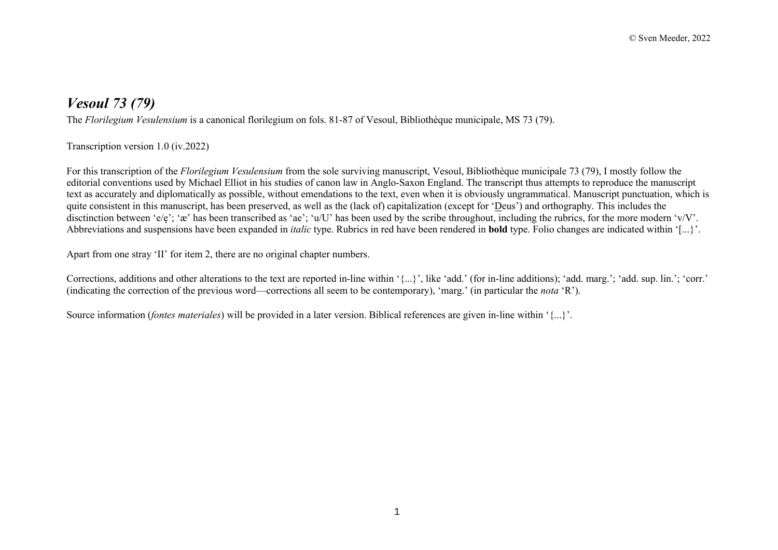## *Vesoul 73 (79)*

The *Florilegium Vesulensium* is a canonical florilegium on fols. 81-87 of Vesoul, Bibliothèque municipale, MS 73 (79).

## Transcription version 1.0 (iv.2022)

For this transcription of the *Florilegium Vesulensium* from the sole surviving manuscript, Vesoul, Bibliothèque municipale 73 (79), I mostly follow the editorial conventions used by Michael Elliot in his studies of canon law in Anglo-Saxon England. The transcript thus attempts to reproduce the manuscript text as accurately and diplomatically as possible, without emendations to the text, even when it is obviously ungrammatical. Manuscript punctuation, which is quite consistent in this manuscript, has been preserved, as well as the (lack of) capitalization (except for 'Deus') and orthography. This includes the disctinction between 'e/e'; 'æ' has been transcribed as 'ae'; 'u/U' has been used by the scribe throughout, including the rubrics, for the more modern 'v/V'. Abbreviations and suspensions have been expanded in *italic* type. Rubrics in red have been rendered in **bold** type. Folio changes are indicated within '[...}'.

Apart from one stray 'II' for item 2, there are no original chapter numbers.

Corrections, additions and other alterations to the text are reported in-line within '{...}', like 'add.' (for in-line additions); 'add. marg.'; 'add. sup. lin.'; 'corr.' (indicating the correction of the previous word—corrections all seem to be contemporary), 'marg.' (in particular the *nota* 'R').

Source information (*fontes materiales*) will be provided in a later version. Biblical references are given in-line within '{...}'.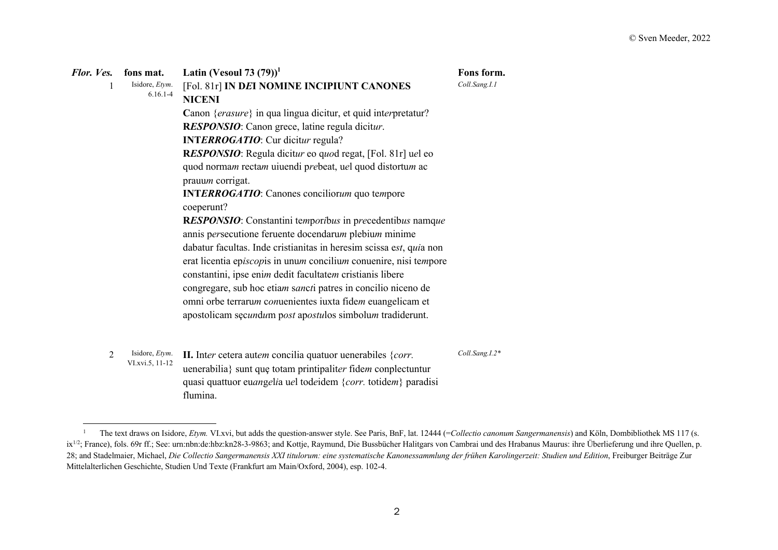| Flor. Ves. | fons mat.                                 | Latin (Vesoul 73 $(79)^1$                                                                                                                                                                                                                                                                                                                                                                                                                                                                                                                                                                                                                          | Fons form.     |
|------------|-------------------------------------------|----------------------------------------------------------------------------------------------------------------------------------------------------------------------------------------------------------------------------------------------------------------------------------------------------------------------------------------------------------------------------------------------------------------------------------------------------------------------------------------------------------------------------------------------------------------------------------------------------------------------------------------------------|----------------|
|            | Isidore, Etym.<br>$6.16.1 - 4$            | [Fol. 81r] IN DEI NOMINE INCIPIUNT CANONES<br><b>NICENI</b>                                                                                                                                                                                                                                                                                                                                                                                                                                                                                                                                                                                        | Coll.Sang.I.1  |
|            |                                           | Canon {erasure} in qua lingua dicitur, et quid interpretatur?<br>RESPONSIO: Canon grece, latine regula dicitur.<br><b>INTERROGATIO:</b> Cur dicitur regula?<br>RESPONSIO: Regula dicitur eo quod regat, [Fol. 81r] uel eo<br>quod normam rectam uiuendi prebeat, uel quod distortum ac<br>prauum corrigat.<br><b>INTERROGATIO:</b> Canones conciliorum quo tempore<br>coeperunt?<br>RESPONSIO: Constantini temporibus in precedentibus namque<br>annis persecutione feruente docendarum plebium minime<br>dabatur facultas. Inde cristianitas in heresim scissa est, quia non<br>erat licentia episcopis in unum concilium conuenire, nisi tempore |                |
|            |                                           | constantini, ipse enim dedit facultatem cristianis libere<br>congregare, sub hoc etiam sancti patres in concilio niceno de<br>omni orbe terrarum conuenientes iuxta fidem euangelicam et<br>apostolicam sęcundum post apostulos simbolum tradiderunt.                                                                                                                                                                                                                                                                                                                                                                                              |                |
| 2          | Isidore, <i>Etym</i> .<br>VI.xvi.5, 11-12 | II. Inter cetera autem concilia quatuor uenerabiles $\{corr.$<br>uenerabilia} sunt que totam printipaliter fidem conplectuntur                                                                                                                                                                                                                                                                                                                                                                                                                                                                                                                     | Coll.Sang.I.2* |

quasi quattuor eu*an*g*e*l*i*a u*e*l tod*e*idem {*corr.* totide*m*} paradisi

flumina.

<sup>&</sup>lt;sup>1</sup> The text draws on Isidore, *Etym.* VI.xvi, but adds the question-answer style. See Paris, BnF, lat. 12444 (=Collectio canonum Sangermanensis) and Köln, Dombibliothek MS 117 (s. ix<sup>1/2</sup>; France), fols. 69r ff.; See: urn:nbn:de:hbz:kn28-3-9863; and Kottje, Raymund, Die Bussbücher Halitgars von Cambrai und des Hrabanus Maurus: ihre Überlieferung und ihre Quellen, p. 28; and Stadelmaier, Michael, *Die Collectio Sangermanensis XXI titulorum: eine systematische Kanonessammlung der frühen Karolingerzeit: Studien und Edition*, Freiburger Beiträge Zur Mittelalterlichen Geschichte, Studien Und Texte (Frankfurt am Main/Oxford, 2004), esp. 102-4.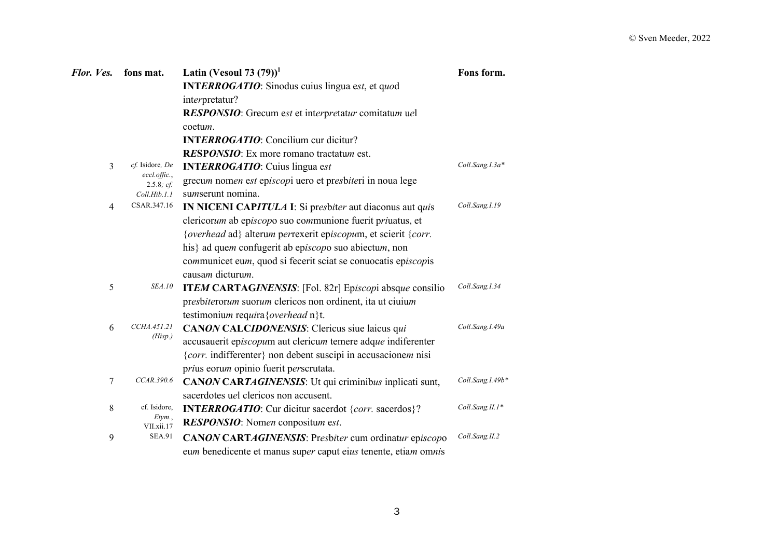| Flor. Ves.     | fons mat.                             | Latin (Vesoul 73 $(79)$ ) <sup>1</sup>                               | Fons form.       |
|----------------|---------------------------------------|----------------------------------------------------------------------|------------------|
|                |                                       | <b>INTERROGATIO:</b> Sinodus cuius lingua est, et quod               |                  |
|                |                                       | interpretatur?                                                       |                  |
|                |                                       | RESPONSIO: Grecum est et interpretatur comitatum uel                 |                  |
|                |                                       | coetum.                                                              |                  |
|                |                                       | <b>INTERROGATIO:</b> Concilium cur dicitur?                          |                  |
|                |                                       | RESPONSIO: Ex more romano tractatum est.                             |                  |
| $\overline{3}$ | cf. Isidore, De                       | <b>INTERROGATIO:</b> Cuius lingua est                                | Coll.Sang.I.3a*  |
|                | $eccl.$ <i>offic.</i> ,<br>2.5.8; cf. | grecum nomen est episcopi uero et presbiteri in noua lege            |                  |
|                | Coll.Hib.1.1                          | sumserunt nomina.                                                    |                  |
| $\overline{4}$ | CSAR.347.16                           | IN NICENI CAPITULA I: Si presbiter aut diaconus aut quis             | Coll.Sang.I.19   |
|                |                                       | clericorum ab episcopo suo communione fuerit priuatus, et            |                  |
|                |                                       | {overhead ad} alterum perrexerit episcopum, et scierit {corr.        |                  |
|                |                                       | his} ad quem confugerit ab episcopo suo abiectum, non                |                  |
|                |                                       | communicet eum, quod si fecerit sciat se conuocatis episcopis        |                  |
|                |                                       | causam dicturum.                                                     |                  |
| 5              | <i>SEA.10</i>                         | <b>ITEM CARTAGINENSIS:</b> [Fol. 82r] Episcopi absque consilio       | Coll.Sang.I.34   |
|                |                                       | presbiterorum suorum clericos non ordinent, ita ut ciuium            |                  |
|                |                                       | testimonium requira { overhead n } t.                                |                  |
| 6              | CCHA.451.21<br>(Hisp.)                | CANON CALCIDONENSIS: Clericus siue laicus qui                        | Coll.Sang.I.49a  |
|                |                                       | accusauerit episcopum aut clericum temere adque indiferenter         |                  |
|                |                                       | {corr. indifferenter} non debent suscipi in accusacionem nisi        |                  |
|                |                                       | prius eorum opinio fuerit perscrutata.                               |                  |
| 7              | CCAR.390.6                            | CANON CARTAGINENSIS: Ut qui criminibus inplicati sunt,               | Coll.Sang.I.49b* |
|                |                                       | sacerdotes uel clericos non accusent.                                |                  |
| 8              | cf. Isidore,<br>Etym.,                | <b>INTERROGATIO:</b> Cur dicitur sacerdot { <i>corr</i> . sacerdos}? | Coll.Sang.II.1*  |
|                | VII.xii.17                            | RESPONSIO: Nomen conpositum est.                                     |                  |
| 9              | <b>SEA.91</b>                         | <b>CANON CARTAGINENSIS:</b> Presbiter cum ordinatur episcopo         | Coll.Sang.II.2   |
|                |                                       | eum benedicente et manus super caput eius tenente, etiam omnis       |                  |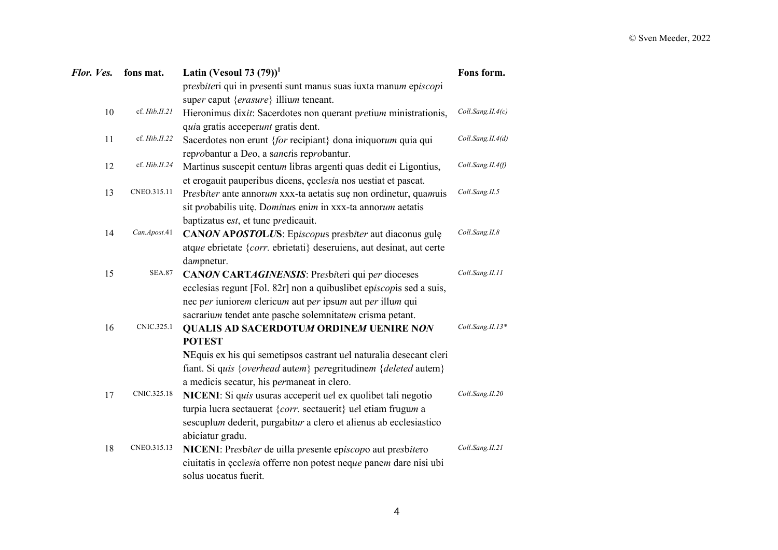| Flor. Ves. | fons mat.     | Latin (Vesoul 73 $(79)^1$                                            | Fons form.        |
|------------|---------------|----------------------------------------------------------------------|-------------------|
|            |               | presbiteri qui in presenti sunt manus suas iuxta manum episcopi      |                   |
|            |               | super caput {erasure} illium teneant.                                |                   |
| 10         | cf. Hib.II.21 | Hieronimus dixit: Sacerdotes non querant pretium ministrationis,     | Coll.Sang.II.4(c) |
|            |               | quia gratis acceperunt gratis dent.                                  |                   |
| 11         | cf. Hib.II.22 | Sacerdotes non erunt {for recipiant} dona iniquorum quia qui         | Coll.Sang.II.4(d) |
|            |               | reprobantur a Deo, a sanctis reprobantur.                            |                   |
| 12         | cf. Hib.II.24 | Martinus suscepit centum libras argenti quas dedit ei Ligontius,     | Coll.Sang.II.4(f) |
|            |               | et erogauit pauperibus dicens, ecclesia nos uestiat et pascat.       |                   |
| 13         | CNEO.315.11   | Presbiter ante annorum xxx-ta aetatis sue non ordinetur, quamuis     | Coll.Sang.II.5    |
|            |               | sit probabilis uitę. Dominus enim in xxx-ta annorum aetatis          |                   |
|            |               | baptizatus est, et tunc predicauit.                                  |                   |
| 14         | Can.Apost.41  | CANON APOSTOLUS: Episcopus presbiter aut diaconus gule               | Coll.Sang.II.8    |
|            |               | atque ebrietate {corr. ebrietati} deseruiens, aut desinat, aut certe |                   |
|            |               | dampnetur.                                                           |                   |
| 15         | <b>SEA.87</b> | <b>CANON CARTAGINENSIS:</b> Presbiteri qui per dioceses              | Coll.Sang.II.11   |
|            |               | ecclesias regunt [Fol. 82r] non a quibuslibet episcopis sed a suis,  |                   |
|            |               | nec per iuniorem clericum aut per ipsum aut per illum qui            |                   |
|            |               | sacrarium tendet ante pasche solemnitatem crisma petant.             |                   |
| 16         | CNIC.325.1    | <b>QUALIS AD SACERDOTUM ORDINEM UENIRE NON</b>                       | Coll.Sang.II.13*  |
|            |               | <b>POTEST</b>                                                        |                   |
|            |               | NEquis ex his qui semetipsos castrant uel naturalia desecant cleri   |                   |
|            |               | fiant. Si quis {overhead autem} peregritudinem {deleted autem}       |                   |
|            |               | a medicis secatur, his permaneat in clero.                           |                   |
| 17         | CNIC.325.18   | NICENI: Si quis usuras acceperit uel ex quolibet tali negotio        | Coll.Sang.II.20   |
|            |               | turpia lucra sectauerat {corr. sectauerit} uel etiam frugum a        |                   |
|            |               | sescuplum dederit, purgabitur a clero et alienus ab ecclesiastico    |                   |
|            |               | abiciatur gradu.                                                     |                   |
| 18         | CNEO.315.13   | NICENI: Presbiter de uilla presente episcopo aut presbitero          | Coll.Sang.II.21   |
|            |               | ciuitatis in ecclesia offerre non potest neque panem dare nisi ubi   |                   |
|            |               | solus uocatus fuerit.                                                |                   |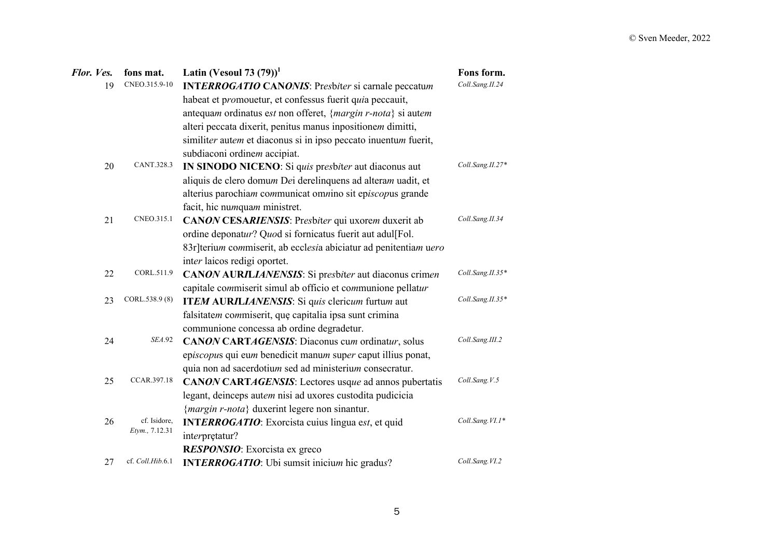| Flor. Ves. | fons mat.        | Latin (Vesoul 73 $(79)$ ) <sup>1</sup>                           | Fons form.       |
|------------|------------------|------------------------------------------------------------------|------------------|
| 19         | CNEO.315.9-10    | INTERROGATIO CANONIS: Presbiter si carnale peccatum              | Coll.Sang.II.24  |
|            |                  | habeat et promouetur, et confessus fuerit quia peccauit,         |                  |
|            |                  | antequam ordinatus est non offeret, {margin r-nota} si autem     |                  |
|            |                  | alteri peccata dixerit, penitus manus inpositionem dimitti,      |                  |
|            |                  | similiter autem et diaconus si in ipso peccato inuentum fuerit,  |                  |
|            |                  | subdiaconi ordinem accipiat.                                     |                  |
| 20         | CANT.328.3       | IN SINODO NICENO: Si quis presbiter aut diaconus aut             | Coll.Sang.II.27* |
|            |                  | aliquis de clero domum Dei derelinquens ad alteram uadit, et     |                  |
|            |                  | alterius parochiam communicat omnino sit episcopus grande        |                  |
|            |                  | facit, hic numquam ministret.                                    |                  |
| 21         | CNEO.315.1       | CANON CESARIENSIS: Presbiter qui uxorem duxerit ab               | Coll.Sang.II.34  |
|            |                  | ordine deponatur? Quod si fornicatus fuerit aut adul[Fol.        |                  |
|            |                  | 83r]terium commiserit, ab ecclesia abiciatur ad penitentiam uero |                  |
|            |                  | inter laicos redigi oportet.                                     |                  |
| 22         | CORL.511.9       | <b>CANON AURILIANENSIS:</b> Si presbiter aut diaconus crimen     | Coll.Sang.II.35* |
|            |                  | capitale commiserit simul ab officio et communione pellatur      |                  |
| 23         | CORL.538.9 (8)   | ITEM AURILIANENSIS: Si quis clericum furtum aut                  | Coll.Sang.II.35* |
|            |                  | falsitatem commiserit, que capitalia ipsa sunt crimina           |                  |
|            |                  | communione concessa ab ordine degradetur.                        |                  |
| 24         | <b>SEA.92</b>    | CANON CARTAGENSIS: Diaconus cum ordinatur, solus                 | Coll.Sang.III.2  |
|            |                  | episcopus qui eum benedicit manum super caput illius ponat,      |                  |
|            |                  | quia non ad sacerdotium sed ad ministerium consecratur.          |                  |
| 25         | CCAR.397.18      | CANON CARTAGENSIS: Lectores usque ad annos pubertatis            | Coll.Sang.V.5    |
|            |                  | legant, deinceps autem nisi ad uxores custodita pudicicia        |                  |
|            |                  | {margin r-nota} duxerint legere non sinantur.                    |                  |
| 26         | cf. Isidore,     | <b>INTERROGATIO:</b> Exorcista cuius lingua est, et quid         | Coll.Sang.VI.1*  |
|            | Etym., 7.12.31   | interpretatur?                                                   |                  |
|            |                  | RESPONSIO: Exorcista ex greco                                    |                  |
| 27         | cf. Coll.Hib.6.1 | <b>INTERROGATIO:</b> Ubi sumsit inicium hic gradus?              | Coll.Sang.VI.2   |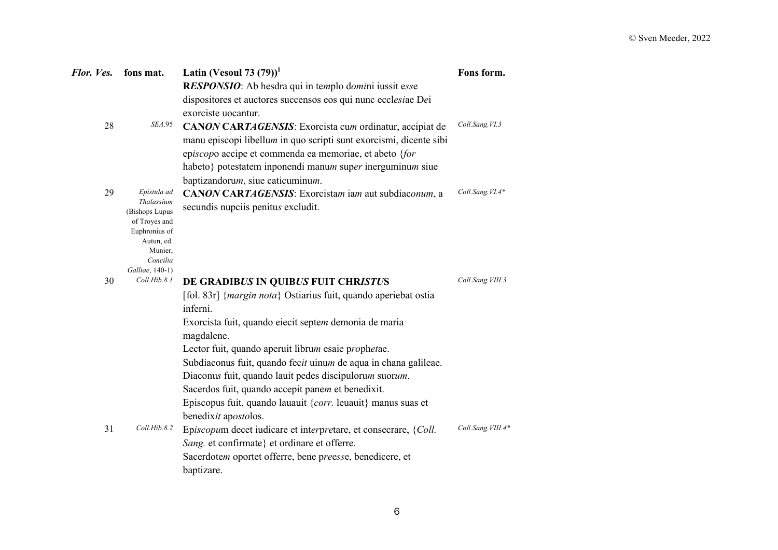| Flor. Ves. | fons mat.                       | Latin (Vesoul 73 $(79)$ ) <sup>1</sup>                                   | Fons form.        |
|------------|---------------------------------|--------------------------------------------------------------------------|-------------------|
|            |                                 | RESPONSIO: Ab hesdra qui in templo domini iussit esse                    |                   |
|            |                                 | dispositores et auctores succensos eos qui nunc ecclesiae Dei            |                   |
|            |                                 | exorciste uocantur.                                                      |                   |
| 28         | <b>SEA.95</b>                   | <b>CANON CARTAGENSIS:</b> Exorcista cum ordinatur, accipiat de           | Coll.Sang.VI.3    |
|            |                                 | manu episcopi libellum in quo scripti sunt exorcismi, dicente sibi       |                   |
|            |                                 | episcopo accipe et commenda ea memoriae, et abeto {for                   |                   |
|            |                                 | habeto} potestatem inponendi manum super inerguminum siue                |                   |
|            |                                 | baptizandorum, siue caticuminum.                                         |                   |
| 29         | Epistula ad                     | CANON CARTAGENSIS: Exorcistam iam aut subdiaconum, a                     | Coll.Sang.VI.4*   |
|            | Thalassium                      | secundis nupciis penitus excludit.                                       |                   |
|            | (Bishops Lupus<br>of Troyes and |                                                                          |                   |
|            | Euphronius of                   |                                                                          |                   |
|            | Autun, ed.<br>Munier,           |                                                                          |                   |
|            | Concilia                        |                                                                          |                   |
|            | Galliae, 140-1)                 |                                                                          |                   |
| 30         | Coll.Hib.8.1                    | DE GRADIBUS IN QUIBUS FUIT CHRISTUS                                      | Coll.Sang.VIII.3  |
|            |                                 | [fol. 83r] { <i>margin nota</i> } Ostiarius fuit, quando aperiebat ostia |                   |
|            |                                 | inferni.                                                                 |                   |
|            |                                 | Exorcista fuit, quando eiecit septem demonia de maria                    |                   |
|            |                                 | magdalene.                                                               |                   |
|            |                                 | Lector fuit, quando aperuit librum esaie prophetae.                      |                   |
|            |                                 | Subdiaconus fuit, quando fecit uinum de aqua in chana galileae.          |                   |
|            |                                 | Diaconus fuit, quando lauit pedes discipulorum suorum.                   |                   |
|            |                                 | Sacerdos fuit, quando accepit panem et benedixit.                        |                   |
|            |                                 | Episcopus fuit, quando lauauit { $corr$ . leuauit} manus suas et         |                   |
|            |                                 | benedixit apostolos.                                                     |                   |
| 31         | Coll.Hib.8.2                    | Episcopum decet iudicare et interpretare, et consecrare, {Coll.          | Coll.Sang.VIII.4* |
|            |                                 | Sang. et confirmate} et ordinare et offerre.                             |                   |
|            |                                 | Sacerdotem oportet offerre, bene preesse, benedicere, et                 |                   |
|            |                                 | baptizare.                                                               |                   |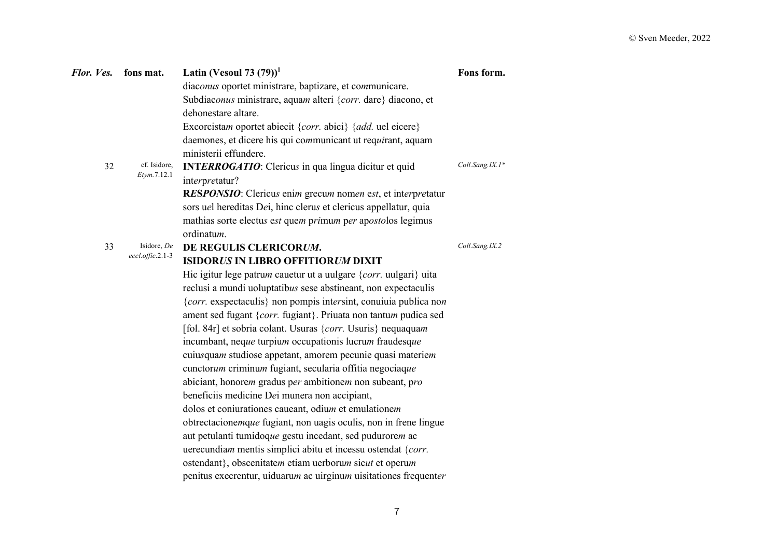| Flor. Ves. | fons mat.              | Latin (Vesoul 73 $(79)$ ) <sup>1</sup>                               | Fons form.      |
|------------|------------------------|----------------------------------------------------------------------|-----------------|
|            |                        | diaconus oportet ministrare, baptizare, et communicare.              |                 |
|            |                        | Subdiaconus ministrare, aquam alteri {corr. dare} diacono, et        |                 |
|            |                        | dehonestare altare.                                                  |                 |
|            |                        | Excorcistam oportet abiecit {corr. abici} {add. uel eicere}          |                 |
|            |                        | daemones, et dicere his qui communicant ut requirant, aquam          |                 |
|            |                        | ministerii effundere.                                                |                 |
| 32         | cf. Isidore,           | <b>INTERROGATIO:</b> Clericus in qua lingua dicitur et quid          | Coll.Sang.IX.1* |
|            | Etym.7.12.1            | interpretatur?                                                       |                 |
|            |                        | RESPONSIO: Clericus enim grecum nomen est, et interpretatur          |                 |
|            |                        | sors uel hereditas Dei, hinc clerus et clericus appellatur, quia     |                 |
|            |                        | mathias sorte electus est quem primum per apostolos legimus          |                 |
|            |                        | ordinatum.                                                           |                 |
| 33         | Isidore, De            | DE REGULIS CLERICORUM.                                               | Coll.Sang.IX.2  |
|            | $eccl.$ offic. $2.1-3$ | <b>ISIDORUS IN LIBRO OFFITIORUM DIXIT</b>                            |                 |
|            |                        | Hic igitur lege patrum cauetur ut a uulgare $\{corr$ . uulgari} uita |                 |
|            |                        | reclusi a mundi uoluptatibus sese abstineant, non expectaculis       |                 |
|            |                        | {corr. exspectaculis} non pompis intersint, conuiuia publica non     |                 |
|            |                        | ament sed fugant {corr. fugiant}. Priuata non tantum pudica sed      |                 |
|            |                        | [fol. 84r] et sobria colant. Usuras {corr. Usuris} nequaquam         |                 |
|            |                        | incumbant, neque turpium occupationis lucrum fraudesque              |                 |
|            |                        | cuiusquam studiose appetant, amorem pecunie quasi materiem           |                 |
|            |                        | cunctorum criminum fugiant, secularia offitia negociaque             |                 |
|            |                        | abiciant, honorem gradus per ambitionem non subeant, pro             |                 |
|            |                        | beneficiis medicine Dei munera non accipiant,                        |                 |
|            |                        | dolos et coniurationes caueant, odium et emulationem                 |                 |
|            |                        | obtrectacionemque fugiant, non uagis oculis, non in frene lingue     |                 |
|            |                        | aut petulanti tumidoque gestu incedant, sed pudurorem ac             |                 |
|            |                        | uerecundiam mentis simplici abitu et incessu ostendat {corr.         |                 |
|            |                        | ostendant}, obscenitatem etiam uerborum sicut et operum              |                 |
|            |                        | penitus execrentur, uiduarum ac uirginum uisitationes frequenter     |                 |
|            |                        |                                                                      |                 |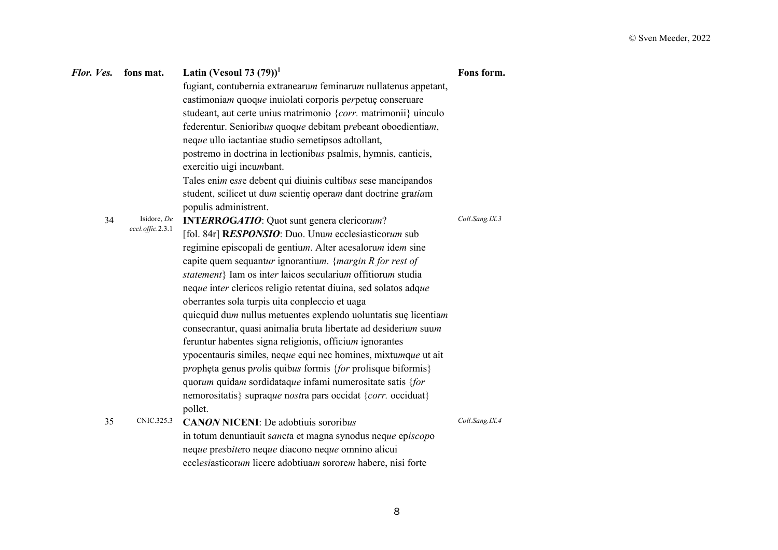| Flor. Ves. fons mat. |                                       | Latin (Vesoul 73 $(79)^1$<br>fugiant, contubernia extranearum feminarum nullatenus appetant,<br>castimoniam quoque inuiolati corporis perpetue conseruare<br>studeant, aut certe unius matrimonio {corr. matrimonii} uinculo<br>federentur. Senioribus quoque debitam prebeant oboedientiam,<br>neque ullo iactantiae studio semetipsos adtollant,                                                                                                                                                                                                                                                                                                                                                                                                                                                                                                                                                                            | Fons form.     |
|----------------------|---------------------------------------|-------------------------------------------------------------------------------------------------------------------------------------------------------------------------------------------------------------------------------------------------------------------------------------------------------------------------------------------------------------------------------------------------------------------------------------------------------------------------------------------------------------------------------------------------------------------------------------------------------------------------------------------------------------------------------------------------------------------------------------------------------------------------------------------------------------------------------------------------------------------------------------------------------------------------------|----------------|
|                      |                                       | postremo in doctrina in lectionibus psalmis, hymnis, canticis,<br>exercitio uigi incumbant.<br>Tales enim esse debent qui diuinis cultibus sese mancipandos<br>student, scilicet ut dum scientie operam dant doctrine gratiam                                                                                                                                                                                                                                                                                                                                                                                                                                                                                                                                                                                                                                                                                                 |                |
| 34                   | Isidore, De<br>$eccl.$ offic. $2.3.1$ | populis administrent.<br><b>INTERROGATIO:</b> Quot sunt genera clericorum?<br>[fol. 84r] RESPONSIO: Duo. Unum ecclesiasticorum sub<br>regimine episcopali de gentium. Alter acesalorum idem sine<br>capite quem sequantur ignorantium. {margin $R$ for rest of<br>statement} Iam os inter laicos secularium offitiorum studia<br>neque inter clericos religio retentat diuina, sed solatos adque<br>oberrantes sola turpis uita conpleccio et uaga<br>quicquid dum nullus metuentes explendo uoluntatis sue licentiam<br>consecrantur, quasi animalia bruta libertate ad desiderium suum<br>feruntur habentes signa religionis, officium ignorantes<br>ypocentauris similes, neque equi nec homines, mixtumque ut ait<br>propheta genus prolis quibus formis {for prolisque biformis}<br>quorum quidam sordidataque infami numerositate satis {for<br>nemorositatis} supraque nostra pars occidat {corr. occiduat}<br>pollet. | Coll.Sang.IX.3 |
| 35                   | CNIC.325.3                            | <b>CANON NICENI:</b> De adobtiuis sororibus<br>in totum denuntiauit sancta et magna synodus neque episcopo<br>neque presbitero neque diacono neque omnino alicui<br>ecclesiasticorum licere adobtiuam sororem habere, nisi forte                                                                                                                                                                                                                                                                                                                                                                                                                                                                                                                                                                                                                                                                                              | Coll.Sang.IX.4 |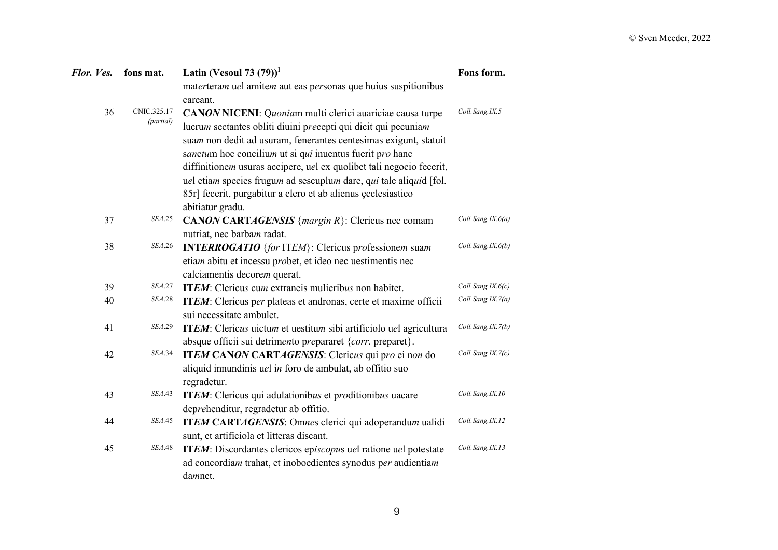| Flor. Ves. | fons mat.      | Latin (Vesoul 73 $(79)$ ) <sup>1</sup>                                     | Fons form.        |
|------------|----------------|----------------------------------------------------------------------------|-------------------|
|            |                | materteram uel amitem aut eas personas que huius suspitionibus<br>careant. |                   |
| 36         | CNIC.325.17    | CANON NICENI: Quoniam multi clerici auariciae causa turpe                  | Coll.Sang.IX.5    |
|            | (partial)      | lucrum sectantes obliti diuini precepti qui dicit qui pecuniam             |                   |
|            |                | suam non dedit ad usuram, fenerantes centesimas exigunt, statuit           |                   |
|            |                | sanctum hoc concilium ut si qui inuentus fuerit pro hanc                   |                   |
|            |                | diffinitionem usuras accipere, uel ex quolibet tali negocio fecerit,       |                   |
|            |                | uel etiam species frugum ad sescuplum dare, qui tale aliquid [fol.         |                   |
|            |                | 85r] fecerit, purgabitur a clero et ab alienus ecclesiastico               |                   |
|            |                | abitiatur gradu.                                                           |                   |
| 37         | <b>SEA.25</b>  | <b>CANON CARTAGENSIS</b> { <i>margin R</i> }: Clericus nec comam           | Coll.Sang.IX.6(a) |
|            |                | nutriat, nec barbam radat.                                                 |                   |
| 38         | <i>SEA</i> .26 | <b>INTERROGATIO</b> {for ITEM}: Clericus professionem suam                 | Coll.Sang.IX.6(b) |
|            |                | etiam abitu et incessu probet, et ideo nec uestimentis nec                 |                   |
|            |                | calciamentis decorem querat.                                               |                   |
| 39         | <i>SEA</i> .27 | <b>ITEM</b> : Clericus cum extraneis mulieribus non habitet.               | Coll.Sang.IX.6(c) |
| 40         | <b>SEA.28</b>  | ITEM: Clericus per plateas et andronas, certe et maxime officii            | Coll.Sang.IX.7(a) |
|            |                | sui necessitate ambulet.                                                   |                   |
| 41         | <b>SEA.29</b>  | ITEM: Clericus uictum et uestitum sibi artificiolo uel agricultura         | Coll.Sang.IX.7(b) |
|            |                | absque officii sui detrimento prepararet {corr. preparet}.                 |                   |
| 42         | <i>SEA</i> .34 | ITEM CANON CARTAGENSIS: Clericus qui pro ei non do                         | Coll.Sang.IX.7(c) |
|            |                | aliquid innundinis uel in foro de ambulat, ab offitio suo                  |                   |
|            |                | regradetur.                                                                |                   |
| 43         | <i>SEA</i> .43 | ITEM: Clericus qui adulationibus et proditionibus uacare                   | Coll.Sang.IX.10   |
|            |                | deprehenditur, regradetur ab offitio.                                      |                   |
| 44         | <i>SEA.</i> 45 | ITEM CARTAGENSIS: Omnes clerici qui adoperandum ualidi                     | Coll.Sang.IX.12   |
|            |                | sunt, et artificiola et litteras discant.                                  |                   |
| 45         | <b>SEA.48</b>  | ITEM: Discordantes clericos episcopus uel ratione uel potestate            | Coll.Sang.IX.13   |
|            |                | ad concordiam trahat, et inoboedientes synodus per audientiam              |                   |
|            |                | damnet.                                                                    |                   |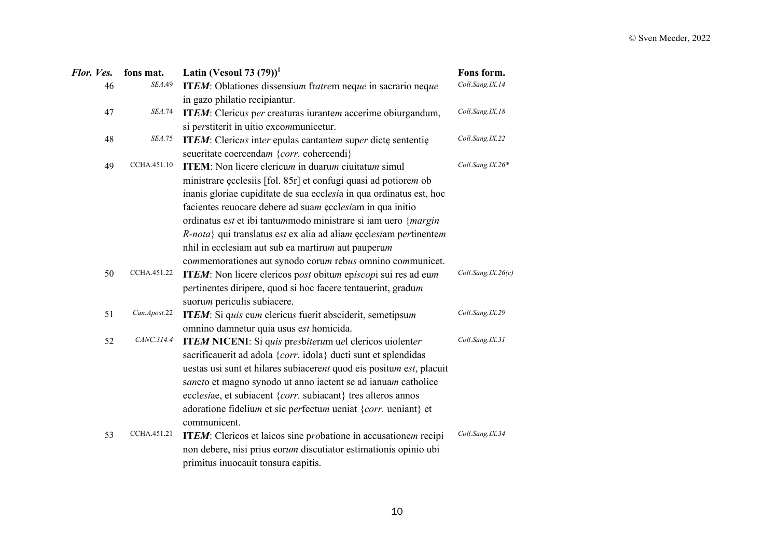| Flor. Ves.   | fons mat.                                                                    | Latin (Vesoul 73 $(79)$ ) <sup>1</sup>                               | Fons form.         |
|--------------|------------------------------------------------------------------------------|----------------------------------------------------------------------|--------------------|
| SEA.49<br>46 |                                                                              | ITEM: Oblationes dissensium fratrem neque in sacrario neque          | Coll.Sang.IX.14    |
|              |                                                                              | in gazo philatio recipiantur.                                        |                    |
| 47           | <b>SEA.74</b><br>ITEM: Clericus per creaturas iurantem accerime obiurgandum, |                                                                      | Coll.Sang.IX.18    |
|              |                                                                              | si perstiterit in uitio excommunicetur.                              |                    |
| 48           | <b>SEA.75</b>                                                                | ITEM: Clericus inter epulas cantantem super dicte sententie          | Coll.Sang.IX.22    |
|              |                                                                              | seueritate coercendam {corr. cohercendi}                             |                    |
| 49           | CCHA.451.10                                                                  | <b>ITEM:</b> Non licere clericum in duarum ciuitatum simul           | Coll.Sang.IX.26*   |
|              |                                                                              | ministrare ecclesiis [fol. 85r] et confugi quasi ad potiorem ob      |                    |
|              |                                                                              | inanis gloriae cupiditate de sua ecclesia in qua ordinatus est, hoc  |                    |
|              |                                                                              | facientes reuocare debere ad suam ecclesiam in qua initio            |                    |
|              |                                                                              | ordinatus est et ibi tantummodo ministrare si iam uero {margin       |                    |
|              |                                                                              | R-nota} qui translatus est ex alia ad aliam ecclesiam pertinentem    |                    |
|              |                                                                              | nhil in ecclesiam aut sub ea martirum aut pauperum                   |                    |
|              |                                                                              | commemorationes aut synodo corum rebus omnino communicet.            |                    |
| 50           | CCHA.451.22                                                                  | ITEM: Non licere clericos post obitum episcopi sui res ad eum        | Coll.Sang.IX.26(c) |
|              |                                                                              | pertinentes diripere, quod si hoc facere tentauerint, gradum         |                    |
|              |                                                                              | suorum periculis subiacere.                                          |                    |
| 51           | Can.Apost.22                                                                 | ITEM: Si quis cum clericus fuerit absciderit, semetipsum             | Coll.Sang.IX.29    |
|              |                                                                              | omnino damnetur quia usus est homicida.                              |                    |
| 52           | CANC.314.4                                                                   | ITEM NICENI: Si quis presbiterum uel clericos uiolenter              | Coll.Sang.IX.31    |
|              |                                                                              | sacrificauerit ad adola {corr. idola} ducti sunt et splendidas       |                    |
|              |                                                                              | uestas usi sunt et hilares subiacerent quod eis positum est, placuit |                    |
|              |                                                                              | sancto et magno synodo ut anno iactent se ad ianuam catholice        |                    |
|              |                                                                              | ecclesiae, et subiacent {corr. subiacant} tres alteros annos         |                    |
|              |                                                                              | adoratione fidelium et sic perfectum ueniat {corr. ueniant} et       |                    |
|              |                                                                              | communicent.                                                         |                    |
| 53           | CCHA.451.21                                                                  | ITEM: Clericos et laicos sine probatione in accusationem recipi      | Coll.Sang.IX.34    |
|              |                                                                              | non debere, nisi prius eorum discutiator estimationis opinio ubi     |                    |
|              |                                                                              | primitus inuocauit tonsura capitis.                                  |                    |
|              |                                                                              |                                                                      |                    |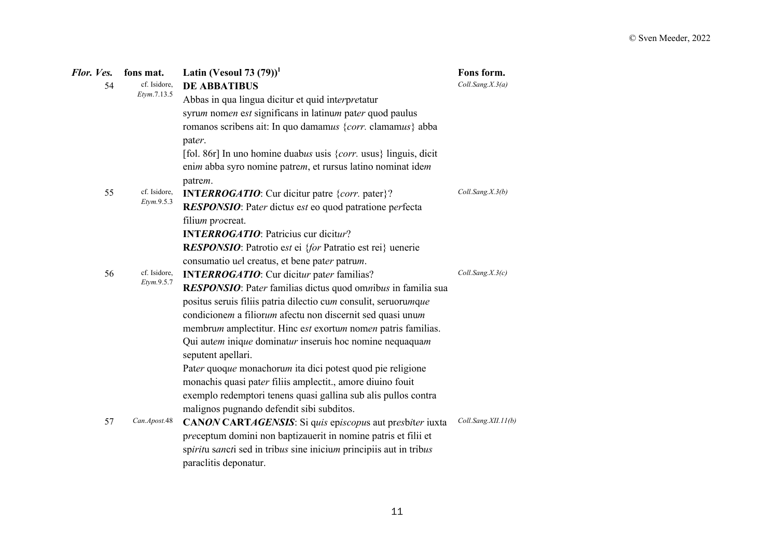| Flor. Ves. | fons mat.                          | Latin (Vesoul 73 $(79)$ ) <sup>1</sup>                                                                                     | Fons form.          |
|------------|------------------------------------|----------------------------------------------------------------------------------------------------------------------------|---------------------|
| 54         | cf. Isidore,<br>Etym.7.13.5        | <b>DE ABBATIBUS</b>                                                                                                        | Coll.Sang.X.3(a)    |
|            |                                    | Abbas in qua lingua dicitur et quid interpretatur                                                                          |                     |
|            |                                    | syrum nomen est significans in latinum pater quod paulus                                                                   |                     |
|            |                                    | romanos scribens ait: In quo damamus {corr. clamamus} abba<br>pater.                                                       |                     |
|            |                                    | [fol. 86r] In uno homine duabus usis $\{corr$ . usus} linguis, dicit                                                       |                     |
|            |                                    | enim abba syro nomine patrem, et rursus latino nominat idem<br>patrem.                                                     |                     |
| 55         | cf. Isidore,                       | <b>INTERROGATIO:</b> Cur dicitur patre {corr. pater}?                                                                      | Coll.Sang.X.3(b)    |
|            | Etym.9.5.3                         | RESPONSIO: Pater dictus est eo quod patratione perfecta<br>filium procreat.                                                |                     |
|            |                                    | <b>INTERROGATIO:</b> Patricius cur dicitur?                                                                                |                     |
|            |                                    | RESPONSIO: Patrotio est ei {for Patratio est rei} uenerie                                                                  |                     |
|            |                                    | consumatio uel creatus, et bene pater patrum.                                                                              |                     |
| 56         | cf. Isidore,<br><i>Etym.</i> 9.5.7 | <b>INTERROGATIO:</b> Cur dicitur pater familias?                                                                           | Coll.Sang.X.3(c)    |
|            |                                    | RESPONSIO: Pater familias dictus quod omnibus in familia sua                                                               |                     |
|            |                                    | positus seruis filiis patria dilectio cum consulit, seruorumque                                                            |                     |
|            |                                    | condicionem a filiorum afectu non discernit sed quasi unum                                                                 |                     |
|            |                                    | membrum amplectitur. Hinc est exortum nomen patris familias.                                                               |                     |
|            |                                    | Qui autem inique dominatur inseruis hoc nomine nequaquam<br>seputent apellari.                                             |                     |
|            |                                    | Pater quoque monachorum ita dici potest quod pie religione                                                                 |                     |
|            |                                    | monachis quasi pater filiis amplectit., amore diuino fouit                                                                 |                     |
|            |                                    | exemplo redemptori tenens quasi gallina sub alis pullos contra                                                             |                     |
|            |                                    | malignos pugnando defendit sibi subditos.                                                                                  |                     |
| 57         | Can.Apost.48                       | CANON CARTAGENSIS: Si quis episcopus aut presbiter iuxta<br>preceptum domini non baptizauerit in nomine patris et filii et | Coll.Sang.XII.11(b) |
|            |                                    | spiritu sancti sed in tribus sine inicium principiis aut in tribus<br>paraclitis deponatur.                                |                     |
|            |                                    |                                                                                                                            |                     |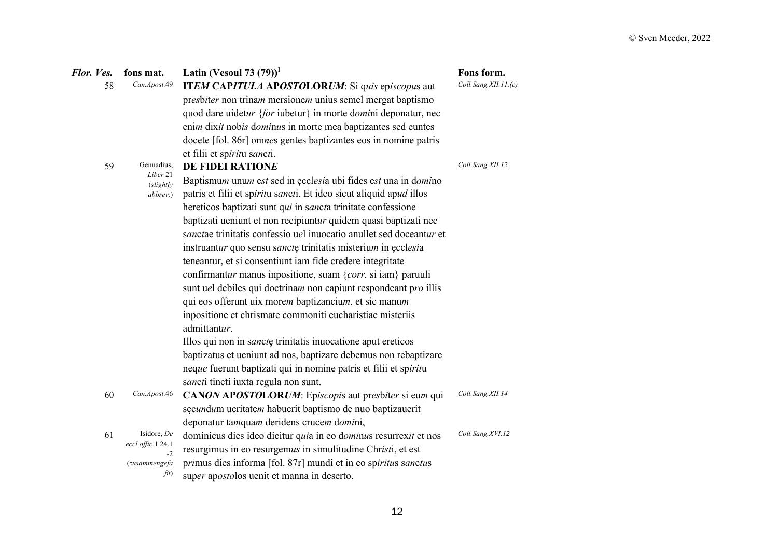| Flor. Ves. | fons mat.                        | Latin (Vesoul 73 $(79)$ ) <sup>1</sup>                              | Fons form.           |
|------------|----------------------------------|---------------------------------------------------------------------|----------------------|
| 58         | Can.Apost.49                     | ITEM CAPITULA APOSTOLORUM: Si quis episcopus aut                    | Coll.Sang.XII.11.(c) |
|            |                                  | presbiter non trinam mersionem unius semel mergat baptismo          |                      |
|            |                                  | quod dare uidetur {for iubetur} in morte domini deponatur, nec      |                      |
|            |                                  | enim dixit nobis dominus in morte mea baptizantes sed euntes        |                      |
|            |                                  | docete [fol. 86r] omnes gentes baptizantes eos in nomine patris     |                      |
|            |                                  | et filii et spiritu sancti.                                         |                      |
| 59         | Gennadius,                       | DE FIDEI RATIONE                                                    | Coll.Sang.XII.12     |
|            | Liber 21<br>(slightly            | Baptismum unum est sed in ecclesia ubi fides est una in domino      |                      |
|            | abbrev.)                         | patris et filii et spiritu sancti. Et ideo sicut aliquid apud illos |                      |
|            |                                  | hereticos baptizati sunt qui in sancta trinitate confessione        |                      |
|            |                                  | baptizati ueniunt et non recipiuntur quidem quasi baptizati nec     |                      |
|            |                                  | sanctae trinitatis confessio uel inuocatio anullet sed doceantur et |                      |
|            |                                  | instruantur quo sensu sanctę trinitatis misterium in ęcclesia       |                      |
|            |                                  | teneantur, et si consentiunt iam fide credere integritate           |                      |
|            |                                  | confirmantur manus inpositione, suam {corr. si iam} paruuli         |                      |
|            |                                  | sunt uel debiles qui doctrinam non capiunt respondeant pro illis    |                      |
|            |                                  | qui eos offerunt uix morem baptizancium, et sic manum               |                      |
|            |                                  | inpositione et chrismate commoniti eucharistiae misteriis           |                      |
|            |                                  | admittantur.                                                        |                      |
|            |                                  | Illos qui non in sancte trinitatis inuocatione aput ereticos        |                      |
|            |                                  | baptizatus et ueniunt ad nos, baptizare debemus non rebaptizare     |                      |
|            |                                  | neque fuerunt baptizati qui in nomine patris et filii et spiritu    |                      |
|            |                                  | sancti tincti iuxta regula non sunt.                                |                      |
| 60         | Can.Apost.46                     | CANON APOSTOLORUM: Episcopis aut presbiter si eum qui               | Coll.Sang.XII.14     |
|            |                                  | sęcundum ueritatem habuerit baptismo de nuo baptizauerit            |                      |
|            |                                  | deponatur tamquam deridens crucem domini,                           |                      |
| 61         | Isidore, De<br>eccl.offic.1.24.1 | dominicus dies ideo dicitur quia in eo dominus resurrexit et nos    | Coll.Sang.XVI.12     |
|            | $-2$                             | resurgimus in eo resurgemus in simulitudine Christi, et est         |                      |
|            | (zusammengefa                    | primus dies informa [fol. 87r] mundi et in eo spiritus sanctus      |                      |
|            | $\beta$ t                        | super apostolos uenit et manna in deserto.                          |                      |

12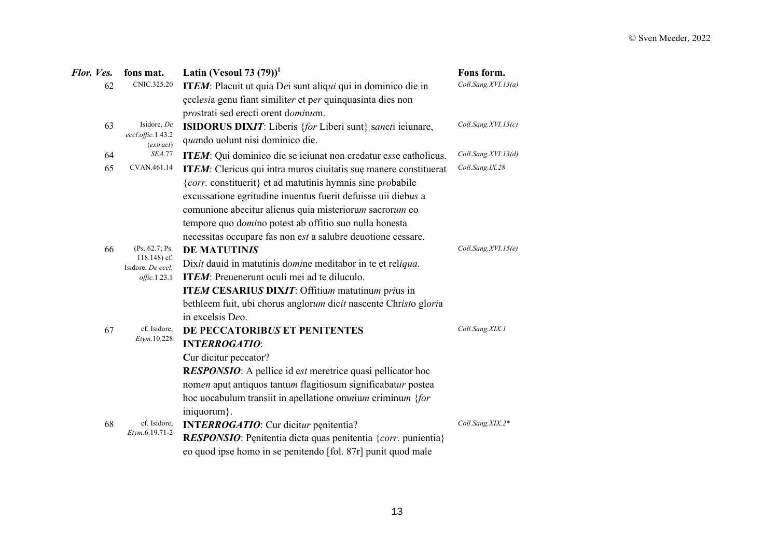| Flor. Ves. | fons mat.                                                                            | Latin (Vesoul 73 $(79)$ ) <sup>1</sup>                            | Fons form.          |
|------------|--------------------------------------------------------------------------------------|-------------------------------------------------------------------|---------------------|
| 62         | CNIC.325.20                                                                          | ITEM: Placuit ut quia Dei sunt aliqui qui in dominico die in      | Coll.Sang.XVI.13(a) |
|            |                                                                                      | ecclesia genu fiant similiter et per quinquasinta dies non        |                     |
|            |                                                                                      | prostrati sed erecti orent dominum.                               |                     |
| 63         | Isidore, De                                                                          | <b>ISIDORUS DIXIT:</b> Liberis {for Liberi sunt} sancti ieiunare, | Coll.Sang.XVI.13(c) |
|            | eccl.offic.1.43.2<br>(extract)                                                       | quando uolunt nisi dominico die.                                  |                     |
| 64         | <b>SEA.77</b>                                                                        | ITEM: Qui dominico die se ieiunat non credatur esse catholicus.   | Coll.Sang.XVI.13(d) |
| 65         | CVAN.461.14                                                                          | ITEM: Clericus qui intra muros ciuitatis sue manere constituerat  | Coll.Sang.IX.28     |
|            |                                                                                      | {corr. constituerit} et ad matutinis hymnis sine probabile        |                     |
|            |                                                                                      | excussatione egritudine inuentus fuerit defuisse uii diebus a     |                     |
|            |                                                                                      | comunione abecitur alienus quia misteriorum sacrorum eo           |                     |
|            |                                                                                      | tempore quo domino potest ab offitio suo nulla honesta            |                     |
|            |                                                                                      | necessitas occupare fas non est a salubre deuotione cessare.      |                     |
| 66         | (Ps. 62.7; Ps.<br>$118.148$ ) cf.<br>Isidore, De eccl.<br>$\textit{offset}$ . 1.23.1 | <b>DE MATUTINIS</b>                                               | Coll.Sang.XVI.15(e) |
|            |                                                                                      | Dixit dauid in matutinis domine meditabor in te et reliqua.       |                     |
|            |                                                                                      | ITEM: Preuenerunt oculi mei ad te diluculo.                       |                     |
|            |                                                                                      | <b>ITEM CESARIUS DIXIT:</b> Offitium matutinum prius in           |                     |
|            |                                                                                      | bethleem fuit, ubi chorus anglorum dicit nascente Christo gloria  |                     |
|            |                                                                                      | in excelsis Deo.                                                  |                     |
| 67         | cf. Isidore,                                                                         | DE PECCATORIBUS ET PENITENTES                                     | Coll.Sang.XIX.1     |
|            | Etym.10.228                                                                          | <b>INTERROGATIO:</b>                                              |                     |
|            |                                                                                      | Cur dicitur peccator?                                             |                     |
|            |                                                                                      | <b>RESPONSIO:</b> A pellice id est meretrice quasi pellicator hoc |                     |
|            |                                                                                      | nomen aput antiquos tantum flagitiosum significabatur postea      |                     |
|            |                                                                                      | hoc uocabulum transiit in apellatione omnium criminum {for        |                     |
|            |                                                                                      | iniquorum }.                                                      |                     |
| 68         | cf. Isidore,<br>Etym.6.19.71-2                                                       | <b>INTERROGATIO:</b> Cur dicitur penitentia?                      | Coll.Sang.XIX.2*    |
|            |                                                                                      | RESPONSIO: Penitentia dicta quas penitentia {corr. punientia}     |                     |
|            |                                                                                      | eo quod ipse homo in se penitendo [fol. 87r] punit quod male      |                     |